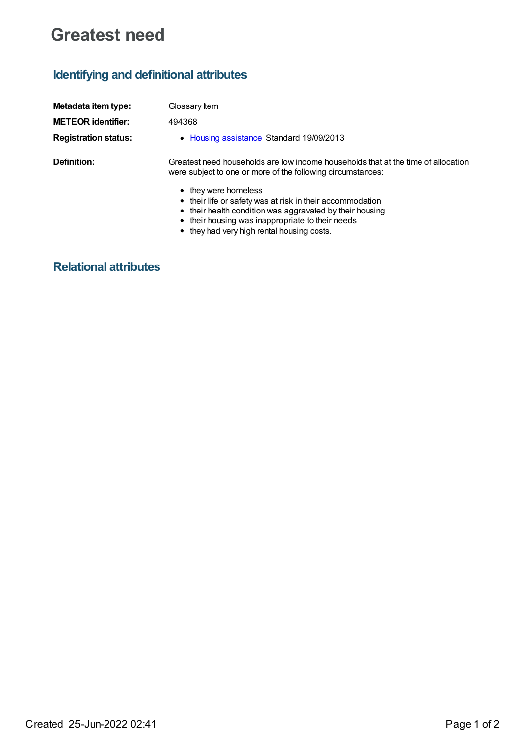## **Greatest need**

## **Identifying and definitional attributes**

| Metadata item type:         | Glossary Item                                                                                                                                                                                     |
|-----------------------------|---------------------------------------------------------------------------------------------------------------------------------------------------------------------------------------------------|
| <b>METEOR identifier:</b>   | 494368                                                                                                                                                                                            |
| <b>Registration status:</b> | • Housing assistance, Standard 19/09/2013                                                                                                                                                         |
| Definition:                 | Greatest need households are low income households that at the time of allocation<br>were subject to one or more of the following circumstances:                                                  |
|                             | • they were homeless<br>• their life or safety was at risk in their accommodation<br>• their health condition was aggravated by their housing<br>• their housing was inappropriate to their needs |

they had very high rental housing costs.

## **Relational attributes**